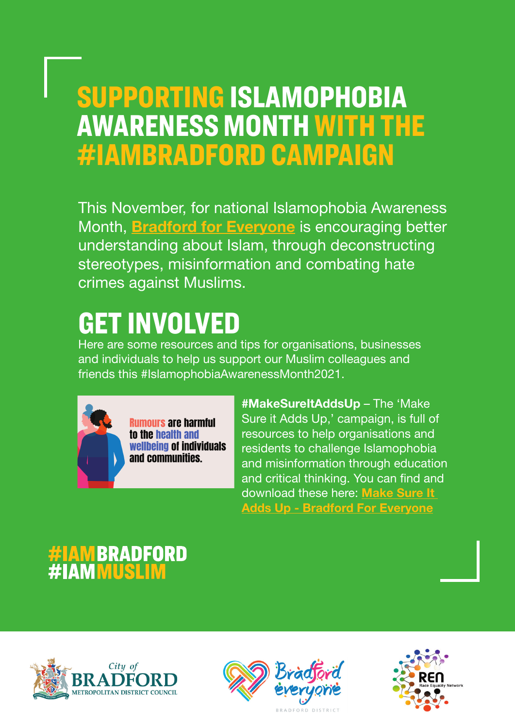#### SUPPORTING ISLAMOPHOBIA AWARENESS MONTH WITH THE #IAMBRADFORD CAMPAIGN

This November, for national Islamophobia Awareness Month, **[Bradford for Everyone](https://bradfordforeveryone.co.uk/)** is encouraging better understanding about Islam, through deconstructing stereotypes, misinformation and combating hate crimes against Muslims.

### GET INVOLVED

Here are some resources and tips for organisations, businesses and individuals to help us support our Muslim colleagues and friends this #IslamophobiaAwarenessMonth2021.



**Rumours are harmful** to the health and wellbeing of individuals and communities.

#MakeSureItAddsUp – The 'Make Sure it Adds Up,' campaign, is full of resources to help organisations and residents to challenge Islamophobia and misinformation through education and critical thinking. You can find and download these here: Make Sure It [Adds Up - Bradford For Everyone](https://bradfordforeveryone.co.uk/make-sure-it-adds-up/)

# **AMBRADFORD<br>AMMUSLIM**